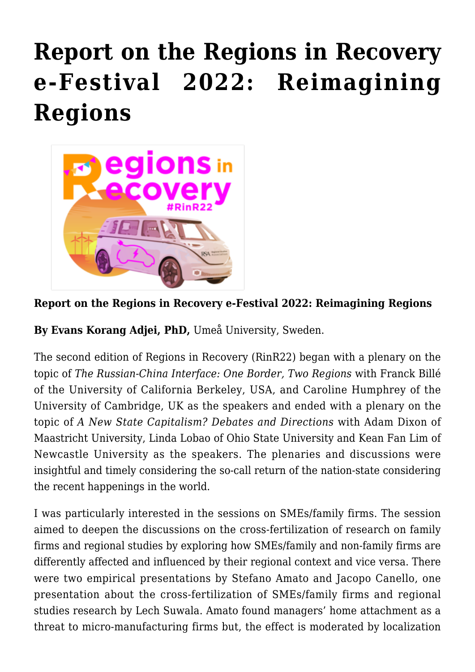## **[Report on the Regions in Recovery](https://regions.regionalstudies.org/ezine/article/issue-12-evans-korang/) [e-Festival 2022: Reimagining](https://regions.regionalstudies.org/ezine/article/issue-12-evans-korang/) [Regions](https://regions.regionalstudies.org/ezine/article/issue-12-evans-korang/)**



## **Report on the Regions in Recovery e-Festival 2022: Reimagining Regions**

**By [Evans Korang Adjei, PhD](https://www.linkedin.com/in/evanskorangadjei/),** Umeå University, Sweden.

The second edition of [Regions in Recovery](https://www.regionalstudies.org/events/rinr2022/) (RinR22) began with a plenary on the topic of *The Russian-China Interface: One Border, Two Regions* with Franck Billé of the University of California Berkeley, USA, and Caroline Humphrey of the University of Cambridge, UK as the speakers and ended with a plenary on the topic of *A New State Capitalism? Debates and Directions* with Adam Dixon of Maastricht University, Linda Lobao of Ohio State University and Kean Fan Lim of Newcastle University as the speakers. The plenaries and discussions were insightful and timely considering the so-call return of the nation-state considering the recent happenings in the world.

I was particularly interested in the sessions on SMEs/family firms. The session aimed to deepen the discussions on the cross-fertilization of research on family firms and regional studies by exploring how SMEs/family and non-family firms are differently affected and influenced by their regional context and vice versa. There were two empirical presentations by Stefano Amato and Jacopo Canello, one presentation about the cross-fertilization of SMEs/family firms and regional studies research by Lech Suwala. Amato found managers' home attachment as a threat to micro-manufacturing firms but, the effect is moderated by localization